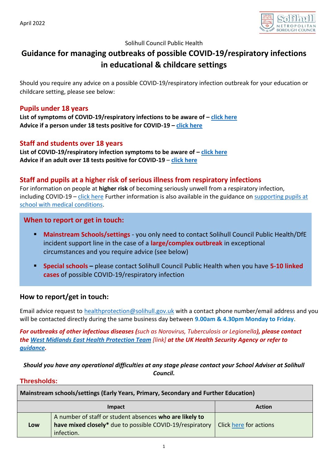

#### Solihull Council Public Health

# **Guidance for managing outbreaks of possible COVID-19/respiratory infections in educational & childcare settings**

Should you require any advice on a possible COVID-19/respiratory infection outbreak for your education or childcare setting, please see below:

### **Pupils under 18 years**

**List of symptoms of COVID-19/respiratory infections to be aware of – [click here](https://www.nhs.uk/conditions/coronavirus-covid-19/symptoms/coronavirus-in-children/) Advice if a person under 18 tests positive for COVID-19 – [click here](https://www.gov.uk/guidance/people-with-symptoms-of-a-respiratory-infection-including-covid-19#Children)**

## **Staff and students over 18 years**

**List of COVID-19/respiratory infection symptoms to be aware of – [click here](https://www.nhs.uk/conditions/coronavirus-covid-19/symptoms/main-symptoms/) Advice if an adult over 18 tests positive for COVID-19** – **[click here](https://www.gov.uk/guidance/people-with-symptoms-of-a-respiratory-infection-including-covid-19#what-to-do-if-you-have-a-positive-covid-19-test-result)**

## **Staff and pupils at a higher risk of serious illness from respiratory infections**

For information on people at **higher risk** of becoming seriously unwell from a respiratory infection, including COVID-19 – [click here](https://www.gov.uk/guidance/people-with-symptoms-of-a-respiratory-infection-including-covid-19#higher-risk) Further information is also available in the guidance on [supporting pupils at](https://www.gov.uk/government/publications/supporting-pupils-at-school-with-medical-conditions--3)  [school with medical conditions.](https://www.gov.uk/government/publications/supporting-pupils-at-school-with-medical-conditions--3)

## **When to report or get in touch:**

- **Mainstream Schools/settings** you only need to contact Solihull Council Public Health/DfE incident support line in the case of a **large/complex outbreak** in exceptional circumstances and you require advice (see below)
- **Special schools –** please contact Solihull Council Public Health when you have **5-10 linked cases** of possible COVID-19/respiratory infection

## **How to report/get in touch:**

Email advice request to [healthprotection@solihull.gov.uk](mailto:healthprotection@solihull.gov.uk) with a contact phone number/email address and you will be contacted directly during the same business day between **9.00am & 4.30pm Monday to Friday**.

*For outbreaks of other infectious diseases (such as Norovirus, Tuberculosis or Legionella), please contact the [West Midlands East Health Protection Team](https://www.gov.uk/guidance/contacts-phe-health-protection-teams#west-midlands-east-hpt) [link] at the UK Health Security Agency or refer to [guidance.](https://www.gov.uk/government/publications/health-protection-in-schools-and-other-childcare-facilities/chapter-3-public-health-management-of-specific-infectious-diseases)*

## *Should you have any operational difficulties at any stage please contact your School Adviser at Solihull Council.*

#### **Thresholds:**

| Mainstream schools/settings (Early Years, Primary, Secondary and Further Education) |                                                                                                                                   |                        |  |
|-------------------------------------------------------------------------------------|-----------------------------------------------------------------------------------------------------------------------------------|------------------------|--|
| Impact                                                                              |                                                                                                                                   | <b>Action</b>          |  |
| Low                                                                                 | A number of staff or student absences who are likely to<br>have mixed closely* due to possible COVID-19/respiratory<br>infection. | Click here for actions |  |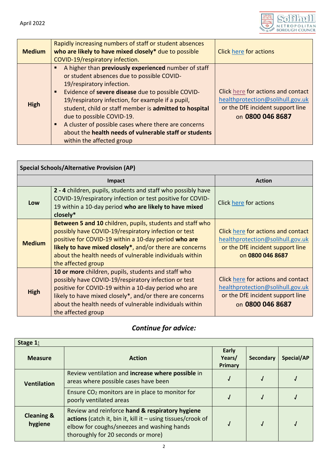

| <b>Medium</b> | Rapidly increasing numbers of staff or student absences<br>who are likely to have mixed closely* due to possible<br>COVID-19/respiratory infection.                                                                                                                                                                                                                                                                                                                                               | <b>Click here for actions</b>                                                                                                  |
|---------------|---------------------------------------------------------------------------------------------------------------------------------------------------------------------------------------------------------------------------------------------------------------------------------------------------------------------------------------------------------------------------------------------------------------------------------------------------------------------------------------------------|--------------------------------------------------------------------------------------------------------------------------------|
| <b>High</b>   | A higher than previously experienced number of staff<br>or student absences due to possible COVID-<br>19/respiratory infection.<br>Evidence of severe disease due to possible COVID-<br>$\blacksquare$<br>19/respiratory infection, for example if a pupil,<br>student, child or staff member is admitted to hospital<br>due to possible COVID-19.<br>A cluster of possible cases where there are concerns<br>about the health needs of vulnerable staff or students<br>within the affected group | Click here for actions and contact<br>healthprotection@solihull.gov.uk<br>or the DfE incident support line<br>on 0800 046 8687 |

<span id="page-1-1"></span><span id="page-1-0"></span>

| <b>Special Schools/Alternative Provision (AP)</b> |                                                                                                                                                                                                                                                                                                                        |                                                                                                                                |  |
|---------------------------------------------------|------------------------------------------------------------------------------------------------------------------------------------------------------------------------------------------------------------------------------------------------------------------------------------------------------------------------|--------------------------------------------------------------------------------------------------------------------------------|--|
| Impact                                            |                                                                                                                                                                                                                                                                                                                        | <b>Action</b>                                                                                                                  |  |
| Low                                               | 2 - 4 children, pupils, students and staff who possibly have<br>COVID-19/respiratory infection or test positive for COVID-<br>19 within a 10-day period who are likely to have mixed<br>closely*                                                                                                                       | Click here for actions                                                                                                         |  |
| <b>Medium</b>                                     | Between 5 and 10 children, pupils, students and staff who<br>possibly have COVID-19/respiratory infection or test<br>positive for COVID-19 within a 10-day period who are<br>likely to have mixed closely*, and/or there are concerns<br>about the health needs of vulnerable individuals within<br>the affected group | Click here for actions and contact<br>healthprotection@solihull.gov.uk<br>or the DfE incident support line<br>on 0800 046 8687 |  |
| <b>High</b>                                       | 10 or more children, pupils, students and staff who<br>possibly have COVID-19/respiratory infection or test<br>positive for COVID-19 within a 10-day period who are<br>likely to have mixed closely*, and/or there are concerns<br>about the health needs of vulnerable individuals within<br>the affected group       | Click here for actions and contact<br>healthprotection@solihull.gov.uk<br>or the DfE incident support line<br>on 0800 046 8687 |  |

# *Continue for advice:*

<span id="page-1-3"></span><span id="page-1-2"></span>

| Stage 1:                         |                                                                                                                                                                                                    |                                   |                  |            |
|----------------------------------|----------------------------------------------------------------------------------------------------------------------------------------------------------------------------------------------------|-----------------------------------|------------------|------------|
| <b>Measure</b>                   | <b>Action</b>                                                                                                                                                                                      | <b>Early</b><br>Years/<br>Primary | <b>Secondary</b> | Special/AP |
| <b>Ventilation</b>               | Review ventilation and increase where possible in<br>areas where possible cases have been                                                                                                          |                                   |                  |            |
|                                  | Ensure CO <sub>2</sub> monitors are in place to monitor for<br>poorly ventilated areas                                                                                                             |                                   |                  |            |
| <b>Cleaning &amp;</b><br>hygiene | Review and reinforce hand & respiratory hygiene<br>actions (catch it, bin it, kill it - using tissues/crook of<br>elbow for coughs/sneezes and washing hands<br>thoroughly for 20 seconds or more) |                                   |                  |            |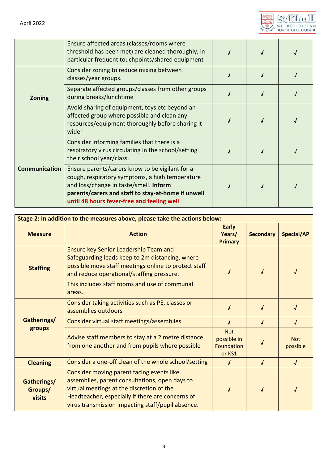

|                      | Ensure affected areas (classes/rooms where<br>threshold has been met) are cleaned thoroughly, in<br>particular frequent touchpoints/shared equipment                                                                                              |  |  |
|----------------------|---------------------------------------------------------------------------------------------------------------------------------------------------------------------------------------------------------------------------------------------------|--|--|
|                      | Consider zoning to reduce mixing between<br>classes/year groups.                                                                                                                                                                                  |  |  |
| <b>Zoning</b>        | Separate affected groups/classes from other groups<br>during breaks/lunchtime                                                                                                                                                                     |  |  |
|                      | Avoid sharing of equipment, toys etc beyond an<br>affected group where possible and clean any<br>resources/equipment thoroughly before sharing it<br>wider                                                                                        |  |  |
| <b>Communication</b> | Consider informing families that there is a<br>respiratory virus circulating in the school/setting<br>their school year/class.                                                                                                                    |  |  |
|                      | Ensure parents/carers know to be vigilant for a<br>cough, respiratory symptoms, a high temperature<br>and loss/change in taste/smell. Inform<br>parents/carers and staff to stay-at-home if unwell<br>until 48 hours fever-free and feeling well. |  |  |

<span id="page-2-0"></span>

| Stage 2: In addition to the measures above, please take the actions below: |                                                                                                                                                                                                                                                          |                                                          |                  |                        |
|----------------------------------------------------------------------------|----------------------------------------------------------------------------------------------------------------------------------------------------------------------------------------------------------------------------------------------------------|----------------------------------------------------------|------------------|------------------------|
| <b>Measure</b>                                                             | <b>Action</b>                                                                                                                                                                                                                                            | <b>Early</b><br>Years/<br><b>Primary</b>                 | <b>Secondary</b> | Special/AP             |
| <b>Staffing</b>                                                            | Ensure key Senior Leadership Team and<br>Safeguarding leads keep to 2m distancing, where<br>possible move staff meetings online to protect staff<br>and reduce operational/staffing pressure.<br>This includes staff rooms and use of communal<br>areas. |                                                          |                  |                        |
|                                                                            | Consider taking activities such as PE, classes or<br>assemblies outdoors                                                                                                                                                                                 |                                                          |                  |                        |
| Gatherings/                                                                | Consider virtual staff meetings/assemblies                                                                                                                                                                                                               |                                                          |                  |                        |
| groups                                                                     | Advise staff members to stay at a 2 metre distance<br>from one another and from pupils where possible                                                                                                                                                    | <b>Not</b><br>possible in<br><b>Foundation</b><br>or KS1 |                  | <b>Not</b><br>possible |
| <b>Cleaning</b>                                                            | Consider a one-off clean of the whole school/setting                                                                                                                                                                                                     | J                                                        |                  | J                      |
| Gatherings/<br>Groups/<br>visits                                           | Consider moving parent facing events like<br>assemblies, parent consultations, open days to<br>virtual meetings at the discretion of the<br>Headteacher, especially if there are concerns of<br>virus transmission impacting staff/pupil absence.        |                                                          |                  |                        |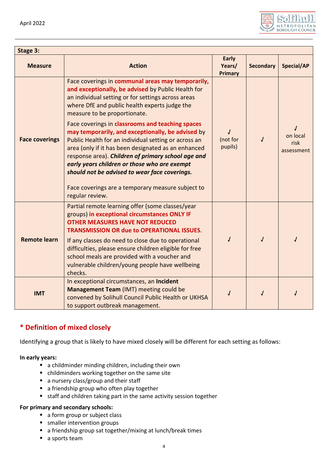

<span id="page-3-0"></span>

| Stage 3:              |                                                                                                                                                                                                                                                                                                                                                                             |                                          |                  |                                |
|-----------------------|-----------------------------------------------------------------------------------------------------------------------------------------------------------------------------------------------------------------------------------------------------------------------------------------------------------------------------------------------------------------------------|------------------------------------------|------------------|--------------------------------|
| <b>Measure</b>        | <b>Action</b>                                                                                                                                                                                                                                                                                                                                                               | <b>Early</b><br>Years/<br><b>Primary</b> | <b>Secondary</b> | Special/AP                     |
|                       | Face coverings in communal areas may temporarily,<br>and exceptionally, be advised by Public Health for<br>an individual setting or for settings across areas<br>where DfE and public health experts judge the<br>measure to be proportionate.                                                                                                                              |                                          |                  |                                |
| <b>Face coverings</b> | Face coverings in classrooms and teaching spaces<br>may temporarily, and exceptionally, be advised by<br>Public Health for an individual setting or across an<br>area (only if it has been designated as an enhanced<br>response area). Children of primary school age and<br>early years children or those who are exempt<br>should not be advised to wear face coverings. | (not for<br>pupils)                      |                  | on local<br>risk<br>assessment |
|                       | Face coverings are a temporary measure subject to<br>regular review.                                                                                                                                                                                                                                                                                                        |                                          |                  |                                |
| <b>Remote learn</b>   | Partial remote learning offer (some classes/year<br>groups) in exceptional circumstances ONLY IF<br><b>OTHER MEASURES HAVE NOT REDUCED</b><br><b>TRANSMISSION OR due to OPERATIONAL ISSUES.</b><br>If any classes do need to close due to operational                                                                                                                       |                                          |                  | $\overline{J}$                 |
|                       | difficulties, please ensure children eligible for free<br>school meals are provided with a voucher and<br>vulnerable children/young people have wellbeing<br>checks.                                                                                                                                                                                                        |                                          |                  |                                |
| <b>IMT</b>            | In exceptional circumstances, an Incident<br>Management Team (IMT) meeting could be<br>convened by Solihull Council Public Health or UKHSA<br>to support outbreak management.                                                                                                                                                                                               |                                          |                  |                                |

# **\* Definition of mixed closely**

Identifying a group that is likely to have mixed closely will be different for each setting as follows:

#### **In early years:**

- a childminder minding children, including their own
- childminders working together on the same site
- a nursery class/group and their staff
- a friendship group who often play together
- staff and children taking part in the same activity session together

#### **For primary and secondary schools:**

- a form group or subject class
- **smaller intervention groups**
- a friendship group sat together/mixing at lunch/break times
- a sports team